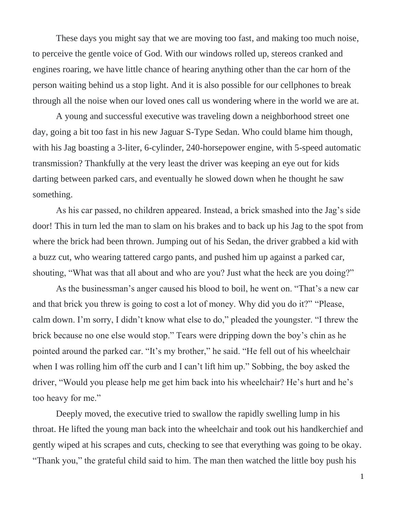These days you might say that we are moving too fast, and making too much noise, to perceive the gentle voice of God. With our windows rolled up, stereos cranked and engines roaring, we have little chance of hearing anything other than the car horn of the person waiting behind us a stop light. And it is also possible for our cellphones to break through all the noise when our loved ones call us wondering where in the world we are at.

A young and successful executive was traveling down a neighborhood street one day, going a bit too fast in his new Jaguar S-Type Sedan. Who could blame him though, with his Jag boasting a 3-liter, 6-cylinder, 240-horsepower engine, with 5-speed automatic transmission? Thankfully at the very least the driver was keeping an eye out for kids darting between parked cars, and eventually he slowed down when he thought he saw something.

As his car passed, no children appeared. Instead, a brick smashed into the Jag's side door! This in turn led the man to slam on his brakes and to back up his Jag to the spot from where the brick had been thrown. Jumping out of his Sedan, the driver grabbed a kid with a buzz cut, who wearing tattered cargo pants, and pushed him up against a parked car, shouting, "What was that all about and who are you? Just what the heck are you doing?"

As the businessman's anger caused his blood to boil, he went on. "That's a new car and that brick you threw is going to cost a lot of money. Why did you do it?" "Please, calm down. I'm sorry, I didn't know what else to do," pleaded the youngster. "I threw the brick because no one else would stop." Tears were dripping down the boy's chin as he pointed around the parked car. "It's my brother," he said. "He fell out of his wheelchair when I was rolling him off the curb and I can't lift him up." Sobbing, the boy asked the driver, "Would you please help me get him back into his wheelchair? He's hurt and he's too heavy for me."

Deeply moved, the executive tried to swallow the rapidly swelling lump in his throat. He lifted the young man back into the wheelchair and took out his handkerchief and gently wiped at his scrapes and cuts, checking to see that everything was going to be okay. "Thank you," the grateful child said to him. The man then watched the little boy push his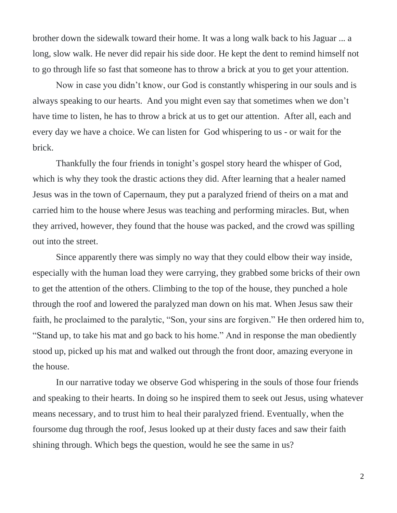brother down the sidewalk toward their home. It was a long walk back to his Jaguar ... a long, slow walk. He never did repair his side door. He kept the dent to remind himself not to go through life so fast that someone has to throw a brick at you to get your attention.

Now in case you didn't know, our God is constantly whispering in our souls and is always speaking to our hearts. And you might even say that sometimes when we don't have time to listen, he has to throw a brick at us to get our attention. After all, each and every day we have a choice. We can listen for God whispering to us - or wait for the brick.

Thankfully the four friends in tonight's gospel story heard the whisper of God, which is why they took the drastic actions they did. After learning that a healer named Jesus was in the town of Capernaum, they put a paralyzed friend of theirs on a mat and carried him to the house where Jesus was teaching and performing miracles. But, when they arrived, however, they found that the house was packed, and the crowd was spilling out into the street.

Since apparently there was simply no way that they could elbow their way inside, especially with the human load they were carrying, they grabbed some bricks of their own to get the attention of the others. Climbing to the top of the house, they punched a hole through the roof and lowered the paralyzed man down on his mat. When Jesus saw their faith, he proclaimed to the paralytic, "Son, your sins are forgiven." He then ordered him to, "Stand up, to take his mat and go back to his home." And in response the man obediently stood up, picked up his mat and walked out through the front door, amazing everyone in the house.

In our narrative today we observe God whispering in the souls of those four friends and speaking to their hearts. In doing so he inspired them to seek out Jesus, using whatever means necessary, and to trust him to heal their paralyzed friend. Eventually, when the foursome dug through the roof, Jesus looked up at their dusty faces and saw their faith shining through. Which begs the question, would he see the same in us?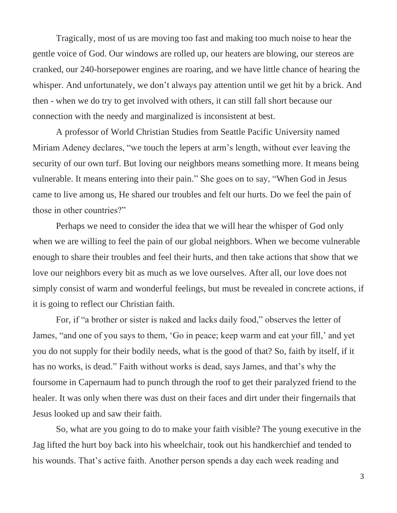Tragically, most of us are moving too fast and making too much noise to hear the gentle voice of God. Our windows are rolled up, our heaters are blowing, our stereos are cranked, our 240-horsepower engines are roaring, and we have little chance of hearing the whisper. And unfortunately, we don't always pay attention until we get hit by a brick. And then - when we do try to get involved with others, it can still fall short because our connection with the needy and marginalized is inconsistent at best.

A professor of World Christian Studies from Seattle Pacific University named Miriam Adeney declares, "we touch the lepers at arm's length, without ever leaving the security of our own turf. But loving our neighbors means something more. It means being vulnerable. It means entering into their pain." She goes on to say, "When God in Jesus came to live among us, He shared our troubles and felt our hurts. Do we feel the pain of those in other countries?"

Perhaps we need to consider the idea that we will hear the whisper of God only when we are willing to feel the pain of our global neighbors. When we become vulnerable enough to share their troubles and feel their hurts, and then take actions that show that we love our neighbors every bit as much as we love ourselves. After all, our love does not simply consist of warm and wonderful feelings, but must be revealed in concrete actions, if it is going to reflect our Christian faith.

For, if "a brother or sister is naked and lacks daily food," observes the letter of James, "and one of you says to them, 'Go in peace; keep warm and eat your fill,' and yet you do not supply for their bodily needs, what is the good of that? So, faith by itself, if it has no works, is dead." Faith without works is dead, says James, and that's why the foursome in Capernaum had to punch through the roof to get their paralyzed friend to the healer. It was only when there was dust on their faces and dirt under their fingernails that Jesus looked up and saw their faith.

So, what are you going to do to make your faith visible? The young executive in the Jag lifted the hurt boy back into his wheelchair, took out his handkerchief and tended to his wounds. That's active faith. Another person spends a day each week reading and